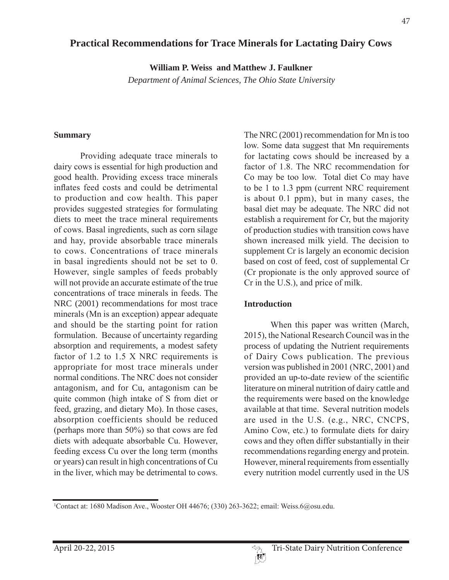# **Practical Recommendations for Trace Minerals for Lactating Dairy Cows**

**William P. Weiss and Matthew J. Faulkner**

*Department of Animal Sciences, The Ohio State University*

## **Summary**

Providing adequate trace minerals to dairy cows is essential for high production and good health. Providing excess trace minerals inflates feed costs and could be detrimental to production and cow health. This paper provides suggested strategies for formulating diets to meet the trace mineral requirements of cows. Basal ingredients, such as corn silage and hay, provide absorbable trace minerals to cows. Concentrations of trace minerals in basal ingredients should not be set to  $0$ . However, single samples of feeds probably will not provide an accurate estimate of the true concentrations of trace minerals in feeds. The NRC (2001) recommendations for most trace minerals (Mn is an exception) appear adequate and should be the starting point for ration formulation. Because of uncertainty regarding absorption and requirements, a modest safety factor of 1.2 to 1.5 X NRC requirements is appropriate for most trace minerals under normal conditions. The NRC does not consider antagonism, and for Cu, antagonism can be quite common (high intake of S from diet or feed, grazing, and dietary Mo). In those cases, absorption coefficients should be reduced (perhaps more than  $50\%$ ) so that cows are fed diets with adequate absorbable Cu. However, feeding excess Cu over the long term (months) or years) can result in high concentrations of Cu in the liver, which may be detrimental to cows.

The NRC (2001) recommendation for Mn is too low. Some data suggest that Mn requirements for lactating cows should be increased by a factor of 1.8. The NRC recommendation for Co may be too low. Total diet Co may have to be 1 to 1.3 ppm (current NRC requirement is about  $0.1$  ppm), but in many cases, the basal diet may be adequate. The NRC did not establish a requirement for Cr, but the majority of production studies with transition cows have shown increased milk yield. The decision to supplement Cr is largely an economic decision based on cost of feed, cost of supplemental Cr (Cr propionate is the only approved source of  $Cr$  in the U.S.), and price of milk.

## **Introduction**

When this paper was written (March, 2015), the National Research Council was in the process of updating the Nutrient requirements of Dairy Cows publication. The previous version was published in  $2001$  (NRC,  $2001$ ) and provided an up-to-date review of the scientific literature on mineral nutrition of dairy cattle and the requirements were based on the knowledge available at that time. Several nutrition models are used in the U.S. (e.g., NRC, CNCPS, Amino Cow, etc.) to formulate diets for dairy cows and they often differ substantially in their recommendations regarding energy and protein. However, mineral requirements from essentially every nutrition model currently used in the US

<sup>&</sup>lt;sup>1</sup>Contact at: 1680 Madison Ave., Wooster OH 44676; (330) 263-3622; email: Weiss.6@osu.edu.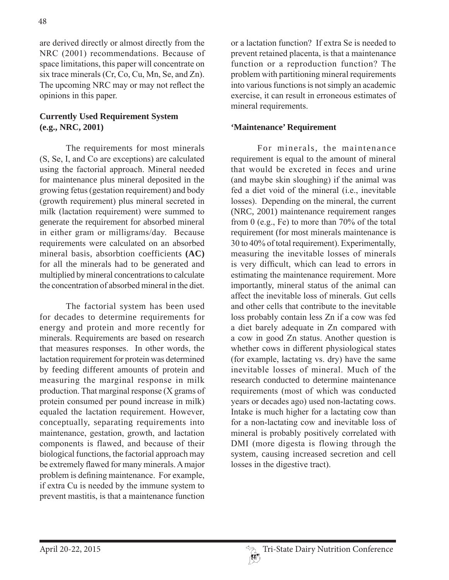are derived directly or almost directly from the NRC (2001) recommendations. Because of space limitations, this paper will concentrate on six trace minerals (Cr, Co, Cu, Mn, Se, and Zn). The upcoming NRC may or may not reflect the opinions in this paper.

## **Currently Used Requirement System (e.g., NRC, 2001)**

The requirements for most minerals (S, Se, I, and Co are exceptions) are calculated using the factorial approach. Mineral needed for maintenance plus mineral deposited in the growing fetus (gestation requirement) and body (growth requirement) plus mineral secreted in milk (lactation requirement) were summed to generate the requirement for absorbed mineral in either gram or milligrams/day. Because requirements were calculated on an absorbed mineral basis, absorbtion coefficients **(AC)**  for all the minerals had to be generated and multiplied by mineral concentrations to calculate the concentration of absorbed mineral in the diet.

The factorial system has been used for decades to determine requirements for energy and protein and more recently for minerals. Requirements are based on research that measures responses. In other words, the lactation requirement for protein was determined by feeding different amounts of protein and measuring the marginal response in milk production. That marginal response  $(X)$  grams of protein consumed per pound increase in milk) equaled the lactation requirement. However, conceptually, separating requirements into maintenance, gestation, growth, and lactation components is flawed, and because of their biological functions, the factorial approach may be extremely flawed for many minerals. A major problem is defining maintenance. For example, if extra Cu is needed by the immune system to prevent mastitis, is that a maintenance function

or a lactation function? If extra Se is needed to prevent retained placenta, is that a maintenance function or a reproduction function? The problem with partitioning mineral requirements into various functions is not simply an academic exercise, it can result in erroneous estimates of mineral requirements.

### **'Maintenance' Requirement**

For minerals, the maintenance requirement is equal to the amount of mineral that would be excreted in feces and urine  $($ and maybe skin sloughing) if the animal was fed a diet void of the mineral (i.e., inevitable losses). Depending on the mineral, the current (NRC, 2001) maintenance requirement ranges from 0 (e.g., Fe) to more than  $70\%$  of the total requirement (for most minerals maintenance is 30 to 40% of total requirement). Experimentally, measuring the inevitable losses of minerals is very difficult, which can lead to errors in estimating the maintenance requirement. More importantly, mineral status of the animal can affect the inevitable loss of minerals Gut cells and other cells that contribute to the inevitable loss probably contain less Zn if a cow was fed a diet barely adequate in Zn compared with a cow in good Zn status. Another question is whether cows in different physiological states (for example, lactating  $vs.$  dry) have the same inevitable losses of mineral Much of the research conducted to determine maintenance requirements (most of which was conducted years or decades ago) used non-lactating cows. Intake is much higher for a lactating cow than for a non-lactating cow and inevitable loss of mineral is probably positively correlated with DMI (more digesta is flowing through the system, causing increased secretion and cell losses in the digestive tract).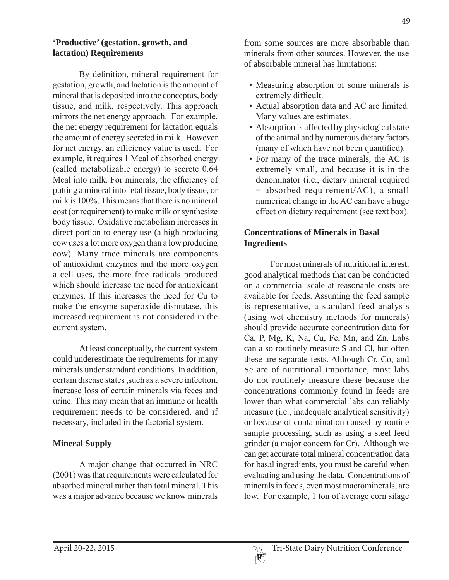#### **'Productive' (gestation, growth, and lactation) Requirements**

By definition, mineral requirement for gestation, growth, and lactation is the amount of mineral that is deposited into the conceptus, body tissue, and milk, respectively. This approach mirrors the net energy approach. For example, the net energy requirement for lactation equals the amount of energy secreted in milk. However for net energy, an efficiency value is used. For example, it requires 1 Mcal of absorbed energy (called metabolizable energy) to secrete 0.64 Mcal into milk. For minerals, the efficiency of putting a mineral into fetal tissue, body tissue, or milk is  $100\%$ . This means that there is no mineral cost (or requirement) to make milk or synthesize body tissue. Oxidative metabolism increases in direct portion to energy use (a high producing cow uses a lot more oxygen than a low producing cow). Many trace minerals are components of antioxidant enzymes and the more oxygen a cell uses, the more free radicals produced which should increase the need for antioxidant enzymes. If this increases the need for Cu to make the enzyme superoxide dismutase, this increased requirement is not considered in the current system.

At least conceptually, the current system could underestimate the requirements for many minerals under standard conditions. In addition, certain disease states such as a severe infection. increase loss of certain minerals via feces and urine. This may mean that an immune or health requirement needs to be considered, and if necessary, included in the factorial system.

## **Mineral Supply**

A major change that occurred in NRC  $(2001)$  was that requirements were calculated for absorbed mineral rather than total mineral. This was a major advance because we know minerals

from some sources are more absorbable than minerals from other sources. However, the use of absorbable mineral has limitations:

- Measuring absorption of some minerals is extremely difficult.
- Actual absorption data and AC are limited. Many values are estimates.
- Absorption is affected by physiological state of the animal and by numerous dietary factors  $(many of which have not been quantified).$
- For many of the trace minerals, the AC is extremely small, and because it is in the denominator (i.e., dietary mineral required  $=$  absorbed requirement/AC), a small numerical change in the AC can have a huge effect on dietary requirement (see text box).

### **Concentrations of Minerals in Basal Ingredients**

For most minerals of nutritional interest, good analytical methods that can be conducted on a commercial scale at reasonable costs are available for feeds. Assuming the feed sample is representative, a standard feed analysis (using wet chemistry methods for minerals) should provide accurate concentration data for Ca, P, Mg, K, Na, Cu, Fe, Mn, and Zn. Labs can also routinely measure S and Cl, but often these are separate tests. Although Cr, Co, and Se are of nutritional importance, most labs do not routinely measure these because the concentrations commonly found in feeds are lower than what commercial labs can reliably measure (i.e., inadequate analytical sensitivity) or because of contamination caused by routine sample processing, such as using a steel feed grinder (a major concern for Cr). Although we can get accurate total mineral concentration data for basal ingredients, you must be careful when evaluating and using the data. Concentrations of minerals in feeds, even most macrominerals, are low. For example, 1 ton of average corn silage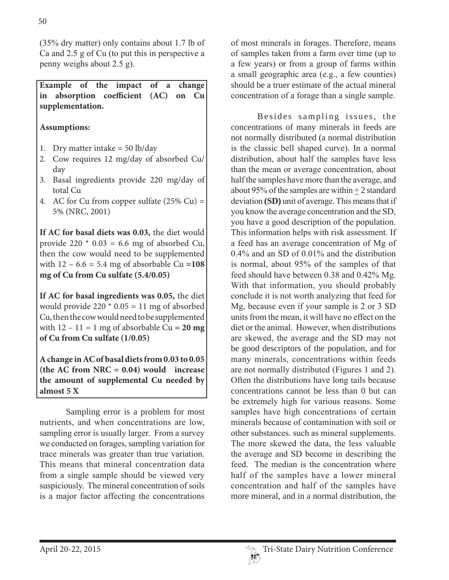$(35\%$  dry matter) only contains about 1.7 lb of Ca and  $2.5$  g of Cu (to put this in perspective a penny weighs about  $2.5$  g).

**Example of the impact of a change in absorption coefficient (AC) on Cu supplementation.**

## **Assumptions:**

- 1. Dry matter intake  $= 50$  lb/day
- 2. Cow requires 12 mg/day of absorbed Cu/ day
- 3. Basal ingredients provide 220 mg/day of total Cu
- 4. AC for Cu from copper sulfate  $(25\%$  Cu) = 5% (NRC, 2001)

**If AC for basal diets was 0.03,** the diet would provide 220  $*$  0.03 = 6.6 mg of absorbed Cu, then the cow would need to be supplemented with  $12 - 6.6 = 5.4$  mg of absorbable Cu = 108 **mg of Cu from Cu sulfate (5.4/0.05)**

**If AC for basal ingredients was 0.05,** the diet would provide  $220 * 0.05 = 11$  mg of absorbed Cu, then the cow would need to be supplemented with  $12 - 11 = 1$  mg of absorbable Cu = 20 mg **of Cu from Cu sulfate (1/0.05)** 

**A change in AC of basal diets from 0.03 to 0.05 (the AC from NRC = 0.04) would increase the amount of supplemental Cu needed by almost 5 X**

Sampling error is a problem for most nutrients, and when concentrations are low. sampling error is usually larger. From a survey we conducted on forages, sampling variation for trace minerals was greater than true variation. This means that mineral concentration data from a single sample should be viewed very suspiciously. The mineral concentration of soils is a major factor affecting the concentrations

of most minerals in forages. Therefore, means of samples taken from a farm over time (up to a few years) or from a group of farms within a small geographic area (e.g., a few counties) should be a truer estimate of the actual mineral concentration of a forage than a single sample.

Besides sampling issues, the concentrations of many minerals in feeds are not normally distributed (a normal distribution is the classic bell shaped curve). In a normal distribution, about half the samples have less than the mean or average concentration, about half the samples have more than the average, and about 95% of the samples are within  $+2$  standard deviation (SD) unit of average. This means that if you know the average concentration and the SD, you have a good description of the population. This information helps with risk assessment. If a feed has an average concentration of Mg of  $0.4\%$  and an SD of  $0.01\%$  and the distribution is normal, about 95% of the samples of that feed should have between  $0.38$  and  $0.42\%$  Mg. With that information, you should probably conclude it is not worth analyzing that feed for Mg, because even if your sample is  $2$  or  $3$  SD units from the mean, it will have no effect on the diet or the animal. However, when distributions are skewed, the average and the SD may not be good descriptors of the population, and for many minerals, concentrations within feeds are not normally distributed (Figures 1 and 2). Often the distributions have long tails because concentrations cannot be less than 0 but can be extremely high for various reasons. Some samples have high concentrations of certain minerals because of contamination with soil or other substances. such as mineral supplements. The more skewed the data, the less valuable the average and SD become in describing the feed The median is the concentration where half of the samples have a lower mineral concentration and half of the samples have more mineral, and in a normal distribution, the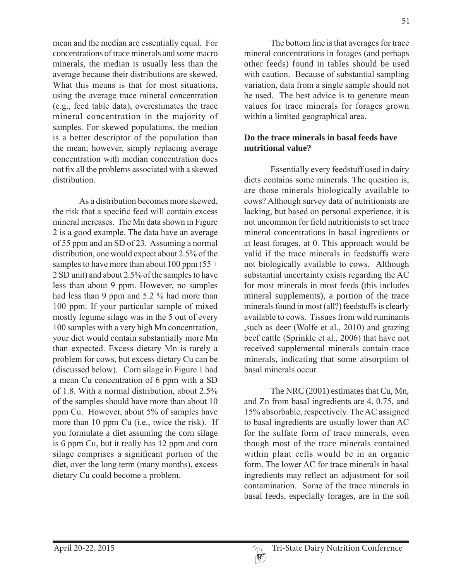mean and the median are essentially equal. For concentrations of trace minerals and some macro minerals, the median is usually less than the average because their distributions are skewed. What this means is that for most situations, using the average trace mineral concentration  $(e.g., feed table data)$ , overestimates the trace mineral concentration in the majority of samples. For skewed populations, the median is a better descriptor of the population than the mean; however, simply replacing average concentration with median concentration does not fix all the problems associated with a skewed distribution.

As a distribution becomes more skewed. the risk that a specific feed will contain excess mineral increases. The Mn data shown in Figure 2 is a good example. The data have an average of 55 ppm and an SD of 23. Assuming a normal distribution, one would expect about  $2.5\%$  of the samples to have more than about 100 ppm  $(55 +$ 2 SD unit) and about 2.5% of the samples to have less than about 9 ppm. However, no samples had less than 9 ppm and 5.2  $\%$  had more than 100 ppm. If your particular sample of mixed mostly legume silage was in the 5 out of every 100 samples with a very high Mn concentration, your diet would contain substantially more Mn than expected. Excess dietary Mn is rarely a problem for cows, but excess dietary Cu can be (discussed below). Corn silage in Figure 1 had a mean Cu concentration of 6 ppm with a SD of 1.8. With a normal distribution, about  $2.5\%$ of the samples should have more than about 10 ppm Cu. However, about 5% of samples have more than 10 ppm  $Cu$  (i.e., twice the risk). If you formulate a diet assuming the corn silage is 6 ppm Cu, but it really has 12 ppm and corn silage comprises a significant portion of the diet, over the long term (many months), excess dietary Cu could become a problem.

The bottom line is that averages for trace mineral concentrations in forages (and perhaps other feeds) found in tables should be used with caution. Because of substantial sampling variation, data from a single sample should not be used. The best advice is to generate mean values for trace minerals for forages grown within a limited geographical area.

#### **Do the trace minerals in basal feeds have nutritional value?**

Essentially every feedstuff used in dairy diets contains some minerals. The question is, are those minerals biologically available to cows? Although survey data of nutritionists are lacking, but based on personal experience, it is not uncommon for field nutritionists to set trace mineral concentrations in basal ingredients or at least forages, at 0. This approach would be valid if the trace minerals in feedstuffs were not biologically available to cows. Although substantial uncertainty exists regarding the AC for most minerals in most feeds (this includes mineral supplements), a portion of the trace minerals found in most (all?) feedstuffs is clearly available to cows. Tissues from wild ruminants , such as deer (Wolfe et al., 2010) and grazing beef cattle (Sprinkle et al., 2006) that have not received supplemental minerals contain trace minerals, indicating that some absorption of basal minerals occur-

The NRC (2001) estimates that Cu, Mn, and Zn from basal ingredients are  $4, 0.75$ , and 15% absorbable, respectively. The AC assigned to basal ingredients are usually lower than AC for the sulfate form of trace minerals, even though most of the trace minerals contained within plant cells would be in an organic form. The lower AC for trace minerals in basal ingredients may reflect an adjustment for soil contamination. Some of the trace minerals in basal feeds, especially forages, are in the soil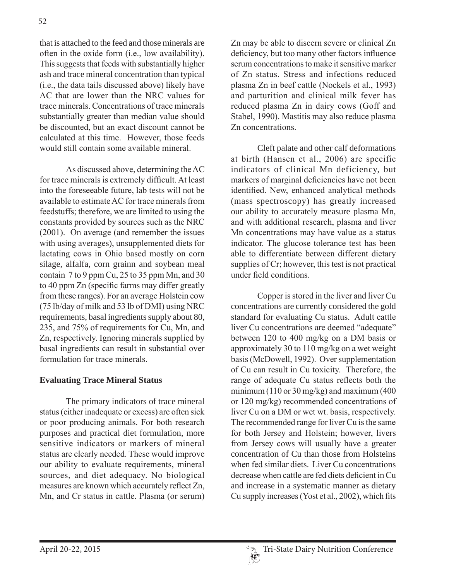that is attached to the feed and those minerals are often in the oxide form  $(i.e., low availability).$ This suggests that feeds with substantially higher ash and trace mineral concentration than typical  $(i.e., the data tails discussed above) likely have$ AC that are lower than the NRC values for trace minerals. Concentrations of trace minerals substantially greater than median value should be discounted, but an exact discount cannot be calculated at this time. However, those feeds would still contain some available mineral.

As discussed above, determining the AC for trace minerals is extremely difficult. At least into the foreseeable future, lab tests will not be available to estimate AC for trace minerals from feedstuffs; therefore, we are limited to using the constants provided by sources such as the NRC  $(2001)$ . On average (and remember the issues with using averages), unsupplemented diets for lactating cows in Ohio based mostly on corn silage, alfalfa, corn grainn and soybean meal contain  $7$  to  $9$  ppm Cu,  $25$  to  $35$  ppm Mn, and  $30$ to 40 ppm Zn (specific farms may differ greatly from these ranges). For an average Holstein cow  $(75 \text{ lb/day of milk and } 53 \text{ lb of DMI})$  using NRC requirements, basal ingredients supply about 80, 235, and 75% of requirements for Cu, Mn, and Zn, respectively. Ignoring minerals supplied by basal ingredients can result in substantial over formulation for trace minerals.

## **Evaluating Trace Mineral Status**

The primary indicators of trace mineral status (either inadequate or excess) are often sick or poor producing animals. For both research purposes and practical diet formulation, more sensitive indicators or markers of mineral status are clearly needed. These would improve our ability to evaluate requirements, mineral sources, and diet adequacy. No biological measures are known which accurately reflect Zn, Mn, and Cr status in cattle. Plasma (or serum) Zn may be able to discern severe or clinical Zn deficiency, but too many other factors influence serum concentrations to make it sensitive marker of Zn status. Stress and infections reduced plasma Zn in beef cattle (Nockels et al., 1993) and parturition and clinical milk fever has reduced plasma Zn in dairy cows (Goff and Stabel, 1990). Mastitis may also reduce plasma Zn concentrations.

Cleft palate and other calf deformations at birth (Hansen et al., 2006) are specific indicators of clinical Mn deficiency, but markers of marginal deficiencies have not been identified. New, enhanced analytical methods (mass spectroscopy) has greatly increased our ability to accurately measure plasma Mn, and with additional research, plasma and liver Mn concentrations may have value as a status indicator. The glucose tolerance test has been able to differentiate between different dietary supplies of  $Cr$ ; however, this test is not practical under field conditions.

Copper is stored in the liver and liver Cu concentrations are currently considered the gold standard for evaluating Cu status. Adult cattle liver Cu concentrations are deemed "adequate" between 120 to 400 mg/kg on a DM basis or approximately 30 to  $110 \text{ mg/kg}$  on a wet weight basis (McDowell, 1992). Over supplementation of Cu can result in Cu toxicity. Therefore, the range of adequate Cu status reflects both the minimum (110 or 30 mg/kg) and maximum (400 or 120 mg/kg) recommended concentrations of liver Cu on a DM or wet wt. basis, respectively. The recommended range for liver Cu is the same for both Jersey and Holstein; however, livers from Jersey cows will usually have a greater concentration of Cu than those from Holsteins when fed similar diets Liver Cu concentrations decrease when cattle are fed diets deficient in Cu and increase in a systematic manner as dietary Cu supply increases (Yost et al., 2002), which fits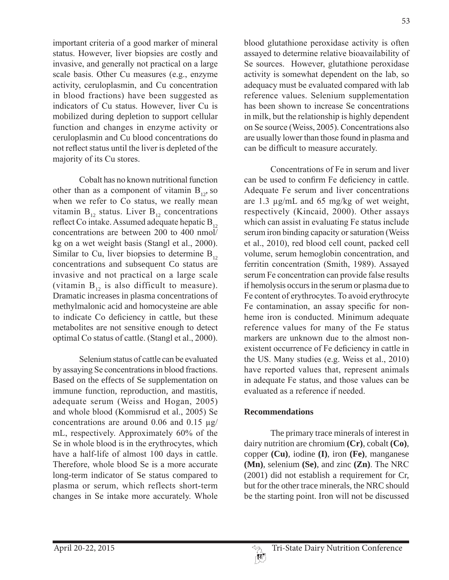important criteria of a good marker of mineral status. However, liver biopsies are costly and invasive, and generally not practical on a large scale basis. Other Cu measures (e.g., enzyme) activity, ceruloplasmin, and Cu concentration in blood fractions) have been suggested as indicators of Cu status. However, liver Cu is mobilized during depletion to support cellular function and changes in enzyme activity or ceruloplasmin and Cu blood concentrations do not reflect status until the liver is depleted of the majority of its Cu stores.

Cobalt has no known nutritional function other than as a component of vitamin  $B_{12}$ , so when we refer to Co status, we really mean vitamin  $B_{12}$  status. Liver  $B_{12}$  concentrations reflect Co intake. Assumed adequate hepatic  $B_{12}$ concentrations are between 200 to 400 nmol/ kg on a wet weight basis (Stangl et al., 2000). Similar to Cu, liver biopsies to determine  $B_{12}$ concentrations and subsequent Co status are invasive and not practical on a large scale (vitamin  $B_{12}$  is also difficult to measure). Dramatic increases in plasma concentrations of methylmalonic acid and homocysteine are able to indicate Co deficiency in cattle, but these metabolites are not sensitive enough to detect optimal Co status of cattle. (Stangl et al., 2000).

Selenium status of cattle can be evaluated by assaying Se concentrations in blood fractions. Based on the effects of Se supplementation on immune function, reproduction, and mastitis, adequate serum (Weiss and Hogan, 2005) and whole blood (Kommisrud et al., 2005) Se concentrations are around 0.06 and 0.15  $\mu$ g/ mL, respectively. Approximately 60% of the Se in whole blood is in the erythrocytes, which have a half-life of almost 100 days in cattle. Therefore, whole blood Se is a more accurate long-term indicator of Se status compared to plasma or serum, which reflects short-term changes in Se intake more accurately. Whole

53 blood glutathione peroxidase activity is often assayed to determine relative bioavailability of Se sources. However, glutathione peroxidase activity is somewhat dependent on the lab, so adequacy must be evaluated compared with lab reference values. Selenium supplementation has been shown to increase Se concentrations in milk, but the relationship is highly dependent

Concentrations of Fe in serum and liver can be used to confirm Fe deficiency in cattle. Adequate Fe serum and liver concentrations are 1.3  $\mu$ g/mL and 65 mg/kg of wet weight, respectively (Kincaid, 2000). Other assays which can assist in evaluating Fe status include serum iron binding capacity or saturation (Weiss) et al., 2010), red blood cell count, packed cell volume, serum hemoglobin concentration, and ferritin concentration (Smith, 1989). Assayed serum Fe concentration can provide false results if hemolysis occurs in the serum or plasma due to Fe content of erythrocytes. To avoid erythrocyte Fe contamination, an assay specific for nonheme iron is conducted. Minimum adequate reference values for many of the Fe status markers are unknown due to the almost nonexistent occurrence of Fe deficiency in cattle in the US. Many studies (e.g. Weiss et al.,  $2010$ ) have reported values that, represent animals in adequate Fe status, and those values can be evaluated as a reference if needed.

on Se source (Weiss, 2005). Concentrations also are usually lower than those found in plasma and

can be difficult to measure accurately.

## **Recommendations**

The primary trace minerals of interest in dairy nutrition are chromium **(Cr)**, cobalt **(Co)**, copper **(Cu)**, iodine **(I)**, iron **(Fe)**, manganese **(Mn)**, selenium **(Se)**, and zinc **(Zn)**. The NRC (2001) did not establish a requirement for Cr, but for the other trace minerals, the NRC should be the starting point. Iron will not be discussed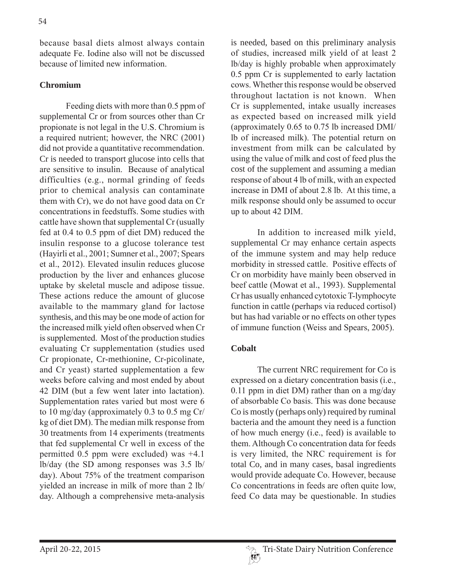because basal diets almost always contain adequate Fe. Iodine also will not be discussed because of limited new information.

#### **Chromium**

Feeding diets with more than  $0.5$  ppm of supplemental Cr or from sources other than Cr propionate is not legal in the U.S. Chromium is a required nutrient; however, the NRC  $(2001)$ did not provide a quantitative recommendation. Cr is needed to transport glucose into cells that are sensitive to insulin. Because of analytical difficulties (e.g., normal grinding of feeds prior to chemical analysis can contaminate them with Cr), we do not have good data on Cr concentrations in feedstuffs. Some studies with cattle have shown that supplemental Cr (usually fed at  $0.4$  to  $0.5$  ppm of diet DM) reduced the insulin response to a glucose tolerance test (Hayirli et al., 2001; Sumner et al., 2007; Spears et al., 2012). Elevated insulin reduces glucose production by the liver and enhances glucose uptake by skeletal muscle and adipose tissue. These actions reduce the amount of glucose available to the mammary gland for lactose synthesis, and this may be one mode of action for the increased milk yield often observed when Cr is supplemented. Most of the production studies evaluating Cr supplementation (studies used Cr propionate, Cr-methionine, Cr-picolinate, and Cr yeast) started supplementation a few weeks before calving and most ended by about 42 DIM (but a few went later into lactation). Supplementation rates varied but most were 6 to  $10 \text{ mg/day}$  (approximately 0.3 to 0.5 mg Cr/ kg of diet DM). The median milk response from 30 treatments from 14 experiments (treatments that fed supplemental Cr well in excess of the permitted 0.5 ppm were excluded) was  $+4.1$  $lb/day$  (the SD among responses was 3.5 lb/ day). About  $75\%$  of the treatment comparison yielded an increase in milk of more than 2 lb/ day. Although a comprehensive meta-analysis

is needed, based on this preliminary analysis of studies, increased milk yield of at least 2 lb/day is highly probable when approximately  $0.5$  ppm Cr is supplemented to early lactation cows. Whether this response would be observed throughout lactation is not known. When Cr is supplemented, intake usually increases as expected based on increased milk yield (approximately  $0.65$  to  $0.75$  lb increased DMI/ lb of increased milk). The potential return on investment from milk can be calculated by using the value of milk and cost of feed plus the cost of the supplement and assuming a median response of about 4 lb of milk, with an expected increase in DMI of about 2.8 lb. At this time, a milk response should only be assumed to occur up to about 42 DIM.

In addition to increased milk yield, supplemental Cr may enhance certain aspects of the immune system and may help reduce morbidity in stressed cattle. Positive effects of Cr on morbidity have mainly been observed in beef cattle (Mowat et al., 1993). Supplemental Cr has usually enhanced cytotoxic T-lymphocyte function in cattle (perhaps via reduced cortisol) but has had variable or no effects on other types of immune function (Weiss and Spears, 2005).

## **Cobalt**

The current NRC requirement for Co is expressed on a dietary concentration basis (i.e.,  $0.11$  ppm in diet DM) rather than on a mg/day of absorbable Co basis. This was done because Co is mostly (perhaps only) required by ruminal bacteria and the amount they need is a function of how much energy (i.e., feed) is available to them. Although Co concentration data for feeds is very limited, the NRC requirement is for total Co, and in many cases, basal ingredients would provide adequate Co. However, because Co concentrations in feeds are often quite low, feed Co data may be questionable. In studies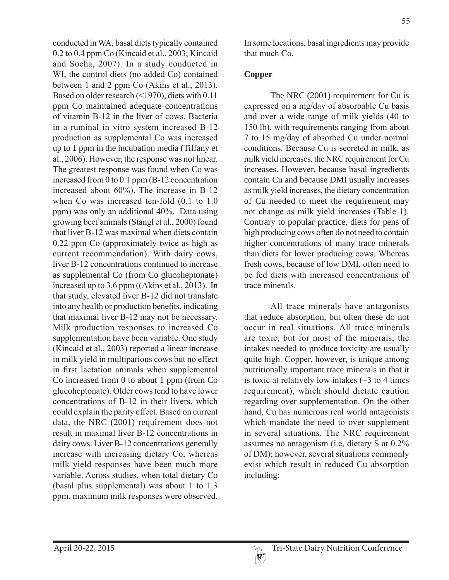conducted in WA, basal diets typically contained  $0.2$  to  $0.4$  ppm Co (Kincaid et al., 2003; Kincaid and Socha, 2007). In a study conducted in WI, the control diets (no added Co) contained between 1 and 2 ppm  $Co$  (Akins et al., 2013). Based on older research (<1970), diets with 0.11 ppm Co maintained adequate concentrations of vitamin B-12 in the liver of cows. Bacteria in a ruminal in vitro system increased  $B-12$ production as supplemental Co was increased up to 1 ppm in the incubation media (Tiffany et al., 2006). However, the response was not linear. The greatest response was found when Co was increased from 0 to 0.1 ppm  $(B-12)$  concentration increased about  $60\%$ ). The increase in B-12 when Co was increased ten-fold  $(0.1 \text{ to } 1.0)$  $ppm)$  was only an additional 40%. Data using growing beef animals (Stangl et al., 2000) found that liver B-12 was maximal when diets contain  $0.22$  ppm Co (approximately twice as high as current recommendation). With dairy cows, liver B-12 concentrations continued to increase as supplemental Co (from Co glucoheptonate) increased up to  $3.6$  ppm ((Akins et al., 2013). In that study, elevated liver B-12 did not translate into any health or production benefits, indicating that maximal liver B-12 may not be necessary. Milk production responses to increased Co supplementation have been variable. One study  $(Kincaid et al., 2003)$  reported a linear increase in milk yield in multiparious cows but no effect in first lactation animals when supplemental Co increased from 0 to about 1 ppm (from Co glucoheptonate). Older cows tend to have lower concentrations of  $B-12$  in their livers, which could explain the parity effect. Based on current data, the NRC (2001) requirement does not result in maximal liver B-12 concentrations in dairy cows. Liver B-12 concentrations generally increase with increasing dietary Co, whereas milk yield responses have been much more variable. Across studies, when total dietary Co (basal plus supplemental) was about 1 to  $1.3$ ppm, maximum milk responses were observed.

55

In some locations, basal ingredients may provide that much  $Co$ .

## **Copper**

The NRC (2001) requirement for Cu is expressed on a mg/day of absorbable Cu basis and over a wide range of milk yields (40 to 150 lb), with requirements ranging from about 7 to 15 mg/day of absorbed Cu under normal conditions. Because Cu is secreted in milk, as milk yield increases, the NRC requirement for Cu increases. However, because basal ingredients contain Cu and because DMI usually increases as milk yield increases, the dietary concentration of Cu needed to meet the requirement may not change as milk yield increases (Table 1). Contrary to popular practice, diets for pens of high producing cows often do not need to contain higher concentrations of many trace minerals than diets for lower producing cows. Whereas fresh cows, because of low DMI, often need to be fed diets with increased concentrations of trace minerals.

All trace minerals have antagonists that reduce absorption, but often these do not occur in real situations. All trace minerals are toxic, but for most of the minerals, the intakes needed to produce toxicity are usually quite high. Copper, however, is unique among nutritionally important trace minerals in that it is toxic at relatively low intakes  $(\sim 3$  to 4 times requirement), which should dictate caution regarding over supplementation. On the other hand, Cu has numerous real world antagonists which mandate the need to over supplement in several situations. The NRC requirement assumes no antagonism (i.e. dietary S at  $0.2\%$ ) of DM); however, several situations commonly exist which result in reduced Cu absorption including: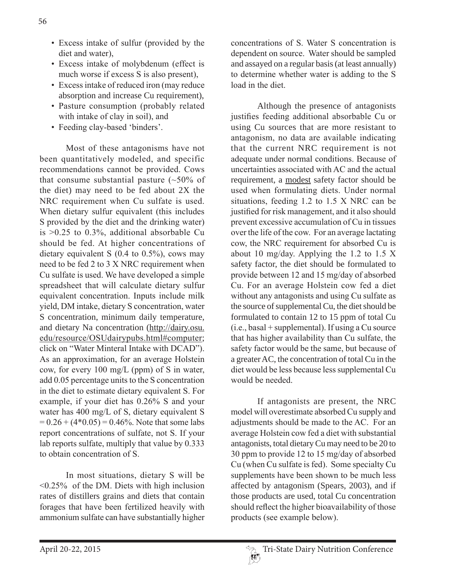- Excess intake of sulfur (provided by the diet and water).
- Excess intake of molybdenum (effect is much worse if excess S is also present),
- Excess intake of reduced iron (may reduce absorption and increase Cu requirement),
- Pasture consumption (probably related with intake of clay in soil), and
- Feeding clay-based 'binders'.

Most of these antagonisms have not been quantitatively modeled, and specific recommendations cannot be provided. Cows that consume substantial pasture  $(\sim 50\%$  of the diet) may need to be fed about 2X the NRC requirement when Cu sulfate is used. When dietary sulfur equivalent (this includes S provided by the diet and the drinking water) is  $>0.25$  to 0.3%, additional absorbable Cu should be fed. At higher concentrations of dietary equivalent S (0.4 to 0.5%), cows may need to be fed 2 to 3 X NRC requirement when Cu sulfate is used. We have developed a simple spreadsheet that will calculate dietary sulfur equivalent concentration. Inputs include milk yield, DM intake, dietary S concentration, water S concentration, minimum daily temperature, and dietary Na concentration  $(http://dairy.osu.$ edu/resource/OSUdairypubs.html#computer; click on "Water Minteral Intake with DCAD"). As an approximation, for an average Holstein cow, for every 100 mg/L (ppm) of S in water, add 0.05 percentage units to the S concentration in the diet to estimate dietary equivalent S. For example, if your diet has  $0.26\%$  S and your water has 400 mg/L of S, dietary equivalent S  $= 0.26 + (4*0.05) = 0.46\%$ . Note that some labs report concentrations of sulfate, not S. If your lab reports sulfate, multiply that value by  $0.333$ to obtain concentration of S.

In most situations, dietary S will be  $\leq$ 0.25% of the DM. Diets with high inclusion rates of distillers grains and diets that contain forages that have been fertilized heavily with ammonium sulfate can have substantially higher

concentrations of S. Water S concentration is dependent on source. Water should be sampled and assayed on a regular basis (at least annually) to determine whether water is adding to the S load in the diet.

Although the presence of antagonists justifies feeding additional absorbable Cu or using Cu sources that are more resistant to antagonism, no data are available indicating that the current NRC requirement is not adequate under normal conditions. Because of uncertainties associated with  $AC$  and the actual requirement, a modest safety factor should be used when formulating diets. Under normal situations, feeding  $1.2$  to  $1.5$  X NRC can be justified for risk management, and it also should prevent excessive accumulation of Cu in tissues over the life of the cow. For an average lactating cow, the NRC requirement for absorbed Cu is about 10 mg/day. Applying the 1.2 to 1.5 X safety factor, the diet should be formulated to provide between 12 and 15 mg/day of absorbed Cu. For an average Holstein cow fed a diet without any antagonists and using Cu sulfate as the source of supplemental Cu, the diet should be formulated to contain 12 to 15 ppm of total Cu  $(i.e., basal + supplemental)$ . If using a Cu source that has higher availability than Cu sulfate, the safety factor would be the same, but because of a greater AC, the concentration of total Cu in the diet would be less because less supplemental Cu would be needed

If antagonists are present, the NRC model will overestimate absorbed Cu supply and adjustments should be made to the AC. For an average Holstein cow fed a diet with substantial antagonists, total dietary Cu may need to be 20 to 30 ppm to provide 12 to 15 mg/day of absorbed  $Cu$  (when Cu sulfate is fed). Some specialty Cu supplements have been shown to be much less affected by antagonism (Spears, 2003), and if those products are used, total Cu concentration should reflect the higher bioavailability of those products (see example below).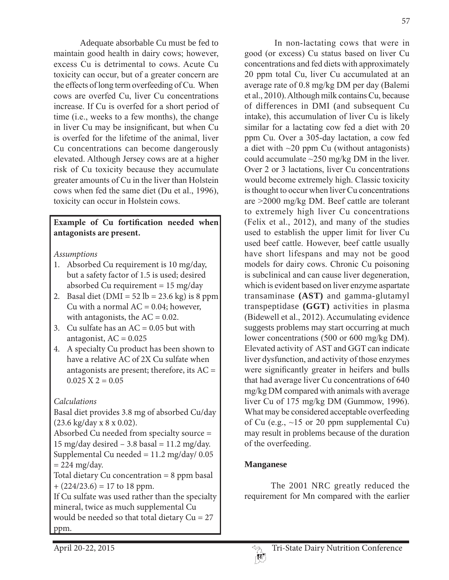Adequate absorbable Cu must be fed to maintain good health in dairy cows; however, excess Cu is detrimental to cows. Acute Cu toxicity can occur, but of a greater concern are the effects of long term overfeeding of Cu. When cows are overfed Cu, liver Cu concentrations increase. If Cu is overfed for a short period of time (i.e., weeks to a few months), the change in liver Cu may be insignificant, but when Cu is overfed for the lifetime of the animal, liver Cu concentrations can become dangerously elevated. Although Jersey cows are at a higher risk of Cu toxicity because they accumulate greater amounts of Cu in the liver than Holstein cows when fed the same diet (Du et al., 1996). toxicity can occur in Holstein cows.

## **Example of Cu fortification needed when antagonists are present.**

*Assumptions*

- 1. Absorbed Cu requirement is 10 mg/day, but a safety factor of 1.5 is used; desired absorbed Cu requirement = 15 mg/day
- 2. Basal diet  $(DMI = 52 lb = 23.6 kg)$  is 8 ppm Cu with a normal  $AC = 0.04$ ; however, with antagonists, the  $AC = 0.02$ .
- 3. Cu sulfate has an  $AC = 0.05$  but with antagonist,  $AC = 0.025$
- 4. A specialty Cu product has been shown to have a relative AC of 2X Cu sulfate when antagonists are present; therefore, its AC =  $0.025$  X 2 = 0.05

## *Calculations*

Basal diet provides 3.8 mg of absorbed Cu/day (23.6 kg/day x 8 x 0.02). Absorbed Cu needed from specialty source = 15 mg/day desired  $-3.8$  basal = 11.2 mg/day.

Supplemental Cu needed =  $11.2 \text{ mg/day}/ 0.05$  $= 224$  mg/day.

Total dietary Cu concentration = 8 ppm basal  $+ (224/23.6) = 17$  to 18 ppm.

If Cu sulfate was used rather than the specialty mineral, twice as much supplemental Cu would be needed so that total dietary Cu = 27 ppm.

In non-lactating cows that were in good (or excess) Cu status based on liver Cu concentrations and fed diets with approximately 20 ppm total Cu, liver Cu accumulated at an average rate of  $0.8 \text{ mg/kg}$  DM per day (Balemi et al., 2010). Although milk contains Cu, because of differences in DMI (and subsequent Cu intake), this accumulation of liver Cu is likely similar for a lactating cow fed a diet with 20 ppm Cu. Over a 305-day lactation, a cow fed a diet with  $\sim$ 20 ppm Cu (without antagonists) could accumulate  $\sim$ 250 mg/kg DM in the liver. Over 2 or 3 lactations, liver Cu concentrations would become extremely high. Classic toxicity is thought to occur when liver Cu concentrations are  $>2000$  mg/kg DM. Beef cattle are tolerant to extremely high liver Cu concentrations (Felix et al., 2012), and many of the studies used to establish the upper limit for liver Cu used beef cattle. However, beef cattle usually have short lifespans and may not be good models for dairy cows. Chronic Cu poisoning is subclinical and can cause liver degeneration. which is evident based on liver enzyme aspartate transaminase **(AST)** and gamma-glutamyl transpeptidase **(GGT)** activities in plasma (Bidewell et al., 2012). Accumulating evidence suggests problems may start occurring at much lower concentrations  $(500 \text{ or } 600 \text{ mg/kg DM})$ . Elevated activity of AST and GGT can indicate liver dysfunction, and activity of those enzymes were significantly greater in heifers and bulls that had average liver Cu concentrations of 640 mg/kg DM compared with animals with average liver Cu of  $175 \text{ mg/kg}$  DM (Gummow, 1996). What may be considered acceptable overfeeding of Cu (e.g.,  $\sim$ 15 or 20 ppm supplemental Cu) may result in problems because of the duration of the overfeeding.

## **Manganese**

The 2001 NRC greatly reduced the requirement for Mn compared with the earlier

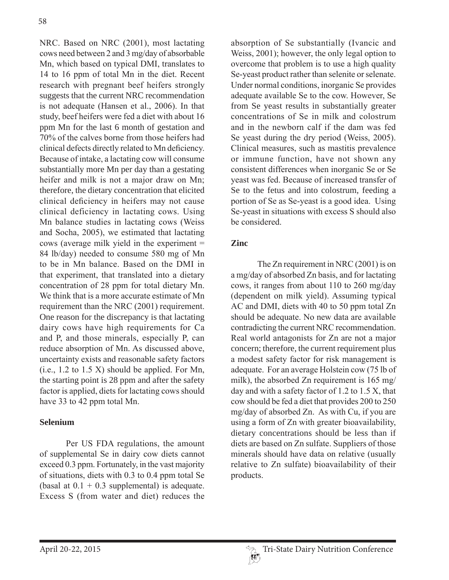NRC. Based on NRC (2001), most lactating cows need between 2 and 3 mg/day of absorbable Mn, which based on typical DMI, translates to 14 to 16 ppm of total Mn in the diet. Recent research with pregnant beef heifers strongly suggests that the current NRC recommendation is not adequate (Hansen et al., 2006). In that study, beef heifers were fed a diet with about 16 ppm Mn for the last 6 month of gestation and 70% of the calves borne from those heifers had clinical defects directly related to Mn deficiency. Because of intake, a lactating cow will consume substantially more Mn per day than a gestating heifer and milk is not a major draw on Mn; therefore, the dietary concentration that elicited clinical deficiency in heifers may not cause clinical deficiency in lactating cows. Using Mn balance studies in lactating cows (Weiss and Socha, 2005), we estimated that lactating cows (average milk yield in the experiment  $=$ 84 lb/day) needed to consume 580 mg of Mn to be in Mn balance. Based on the DMI in that experiment, that translated into a dietary concentration of 28 ppm for total dietary Mn. We think that is a more accurate estimate of  $Mn$ requirement than the NRC  $(2001)$  requirement. One reason for the discrepancy is that lactating dairy cows have high requirements for Ca and P, and those minerals, especially P, can reduce absorption of Mn. As discussed above, uncertainty exists and reasonable safety factors  $(i.e., 1.2 to 1.5 X)$  should be applied. For Mn, the starting point is 28 ppm and after the safety factor is applied, diets for lactating cows should have 33 to 42 ppm total Mn.

## **Selenium**

Per US FDA regulations, the amount of supplemental Se in dairy cow diets cannot exceed  $0.3$  ppm. Fortunately, in the vast majority of situations, diets with  $0.3$  to  $0.4$  ppm total Se (basal at  $0.1 + 0.3$  supplemental) is adequate. Excess S (from water and diet) reduces the

absorption of Se substantially (Ivancic and Weiss,  $2001$ ); however, the only legal option to overcome that problem is to use a high quality Se-yeast product rather than selenite or selenate. Under normal conditions, inorganic Se provides adequate available Se to the cow. However, Se from Se yeast results in substantially greater concentrations of Se in milk and colostrum and in the newborn calf if the dam was fed Se yeast during the dry period (Weiss,  $2005$ ). Clinical measures, such as mastitis prevalence or immune function, have not shown any consistent differences when inorganic Se or Se veast was fed. Because of increased transfer of Se to the fetus and into colostrum, feeding a portion of Se as Se-yeast is a good idea. Using Se-veast in situations with excess S should also be considered.

## **Zinc**

The Zn requirement in NRC  $(2001)$  is on a mg/day of absorbed Zn basis, and for lactating cows, it ranges from about 110 to 260 mg/day (dependent on milk yield). Assuming typical  $AC$  and DMI, diets with 40 to 50 ppm total  $Zn$ should be adequate. No new data are available contradicting the current NRC recommendation. Real world antagonists for Zn are not a major concern; therefore, the current requirement plus a modest safety factor for risk management is adequate. For an average Holstein cow (75 lb of milk), the absorbed Zn requirement is  $165 \text{ mg}/$ day and with a safety factor of 1.2 to 1.5 X, that cow should be fed a diet that provides 200 to 250  $mg/day$  of absorbed Zn. As with Cu, if you are using a form of  $Zn$  with greater bioavailability, dietary concentrations should be less than if diets are based on Zn sulfate. Suppliers of those minerals should have data on relative (usually relative to Zn sulfate) bioavailability of their products.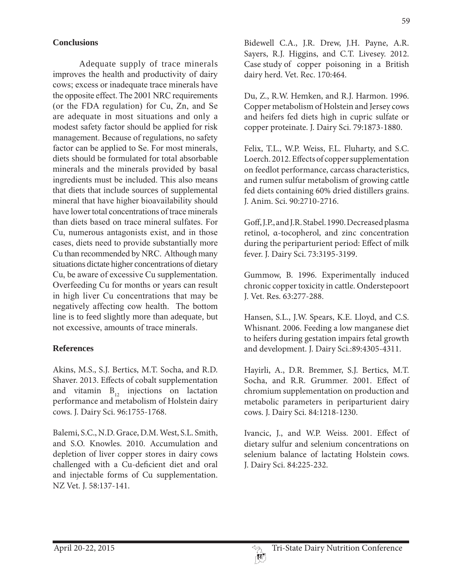#### **Conclusions**

Adequate supply of trace minerals improves the health and productivity of dairy cows; excess or inadequate trace minerals have the opposite effect. The 2001 NRC requirements (or the FDA regulation) for Cu,  $Zn$ , and Se are adequate in most situations and only a modest safety factor should be applied for risk management. Because of regulations, no safety factor can be applied to Se. For most minerals, diets should be formulated for total absorbable minerals and the minerals provided by basal ingredients must be included. This also means that diets that include sources of supplemental mineral that have higher bioavailability should have lower total concentrations of trace minerals than diets based on trace mineral sulfates. For Cu, numerous antagonists exist, and in those cases, diets need to provide substantially more Cu than recommended by NRC. Although many situations dictate higher concentrations of dietary Cu, be aware of excessive Cu supplementation. Overfeeding Cu for months or years can result in high liver Cu concentrations that may be negatively affecting cow health. The bottom line is to feed slightly more than adequate, but not excessive, amounts of trace minerals.

#### **References**

Akins, M.S., S.J. Bertics, M.T. Socha, and R.D. Shaver. 2013. Effects of cobalt supplementation and vitamin  $B_{12}$  injections on lactation performance and metabolism of Holstein dairy cows. J. Dairy Sci. 96:1755-1768.

Balemi, S.C., N.D. Grace, D.M. West, S.L. Smith, and S.O. Knowles. 2010. Accumulation and depletion of liver copper stores in dairy cows challenged with a Cu-deficient diet and oral and injectable forms of Cu supplementation. NZ Vet. J. 58:137-141.

Bidewell C.A., J.R. Drew, J.H. Payne, A.R. Sayers, R.J. Higgins, and C.T. Livesey. 2012. Case study of copper poisoning in a British dairy herd. Vet. Rec. 170:464.

Du, Z., R.W. Hemken, and R.J. Harmon. 1996. Copper metabolism of Holstein and Jersey cows and heifers fed diets high in cupric sulfate or copper proteinate. J. Dairy Sci. 79:1873-1880.

Felix, T.L., W.P. Weiss, F.L. Fluharty, and S.C. Loerch. 2012. Effects of copper supplementation on feedlot performance, carcass characteristics, and rumen sulfur metabolism of growing cattle fed diets containing 60% dried distillers grains. J. Anim. Sci. 90:2710-2716.

Goff, J.P., and J.R. Stabel. 1990. Decreased plasma retinol, α-tocopherol, and zinc concentration during the periparturient period: Effect of milk fever. J. Dairy Sci. 73:3195-3199.

Gummow, B. 1996. Experimentally induced chronic copper toxicity in cattle. Onderstepoort J. Vet. Res. 63:277-288.

Hansen, S.L., J.W. Spears, K.E. Lloyd, and C.S. Whisnant. 2006. Feeding a low manganese diet to heifers during gestation impairs fetal growth and development. J. Dairy Sci.:89:4305-4311.

Hayirli, A., D.R. Bremmer, S.J. Bertics, M.T. Socha, and R.R. Grummer. 2001. Effect of chromium supplementation on production and metabolic parameters in periparturient dairy cows. J. Dairy Sci. 84:1218-1230.

Ivancic, J., and W.P. Weiss. 2001. Effect of dietary sulfur and selenium concentrations on selenium balance of lactating Holstein cows. J. Dairy Sci. 84:225-232.

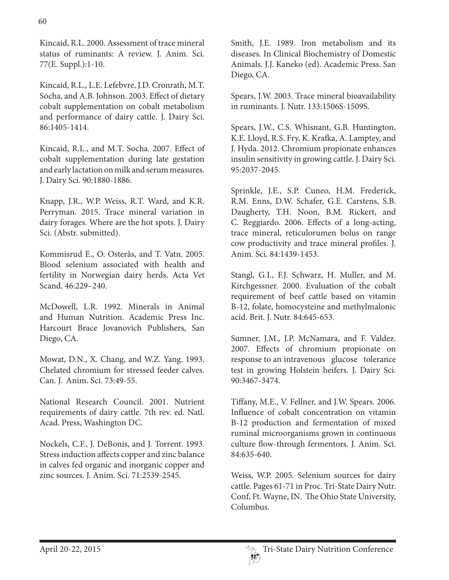Kincaid, R.L. 2000. Assessment of trace mineral status of ruminants: A review. J. Anim. Sci. 77(E. Suppl.):1-10.

Kincaid, R.L., L.E. Lefebvre, J.D. Cronrath, M.T. Socha, and A.B. Johnson. 2003. Effect of dietary cobalt supplementation on cobalt metabolism and performance of dairy cattle. J. Dairy Sci. 86:1405-1414.

Kincaid, R.L., and M.T. Socha. 2007. Effect of cobalt supplementation during late gestation and early lactation on milk and serum measures. J. Dairy Sci. 90:1880-1886.

Knapp, J.R., W.P. Weiss, R.T. Ward, and K.R. Perryman. 2015. Trace mineral variation in dairy forages. Where are the hot spots. J. Dairy Sci. (Abstr. submitted).

Kommisrud E., O. Osterås, and T. Vatn. 2005. Blood selenium associated with health and fertility in Norwegian dairy herds. Acta Vet Scand. 46:229–240.

McDowell, L.R. 1992. Minerals in Animal and Human Nutrition. Academic Press Inc. Harcourt Brace Jovanovich Publishers, San Diego, CA.

Mowat, D.N., X. Chang, and W.Z. Yang. 1993. Chelated chromium for stressed feeder calves. Can. J. Anim. Sci. 73:49-55.

National Research Council. 2001. Nutrient requirements of dairy cattle. 7th rev. ed. Natl. Acad. Press, Washington DC.

Nockels, C.F., J. DeBonis, and J. Torrent. 1993. Stress induction affects copper and zinc balance in calves fed organic and inorganic copper and zinc sources. J. Anim. Sci. 71:2539-2545.

Smith, J.E. 1989. Iron metabolism and its diseases. In Clinical Biochemistry of Domestic Animals. J.J. Kaneko (ed). Academic Press. San Diego, CA.

Spears, J.W. 2003. Trace mineral bioavailability in ruminants. J. Nutr. 133:1506S-1509S.

Spears, J.W., C.S. Whisnant, G.B. Huntington, K.E. Lloyd, R.S. Fry, K. Krafka, A. Lamptey, and J. Hyda. 2012. Chromium propionate enhances insulin sensitivity in growing cattle. J. Dairy Sci. 95:2037-2045.

Sprinkle, J.E., S.P. Cuneo, H.M. Frederick, R.M. Enns, D.W. Schafer, G.E. Carstens, S.B. Daugherty, T.H. Noon, B.M. Rickert, and C. Reggiardo. 2006. Effects of a long-acting, trace mineral, reticulorumen bolus on range cow productivity and trace mineral profiles. J. Anim. Sci. 84:1439-1453.

Stangl, G.I., F.J. Schwarz, H. Muller, and M. Kirchgessner. 2000. Evaluation of the cobalt requirement of beef cattle based on vitamin B-12, folate, homocysteine and methylmalonic acid. Brit. J. Nutr. 84:645-653.

Sumner, J.M., J.P. McNamara, and F. Valdez. 2007. Effects of chromium propionate on response to an intravenous glucose tolerance test in growing Holstein heifers. J. Dairy Sci. 90:3467-3474.

Tiffany, M.E., V. Fellner, and J.W. Spears. 2006. Influence of cobalt concentration on vitamin B-12 production and fermentation of mixed ruminal microorganisms grown in continuous culture flow-through fermentors. J. Anim. Sci. 84:635-640.

Weiss, W.P. 2005. Selenium sources for dairy cattle. Pages 61-71 in Proc. Tri-State Dairy Nutr. Conf, Ft. Wayne, IN. The Ohio State University, Columbus.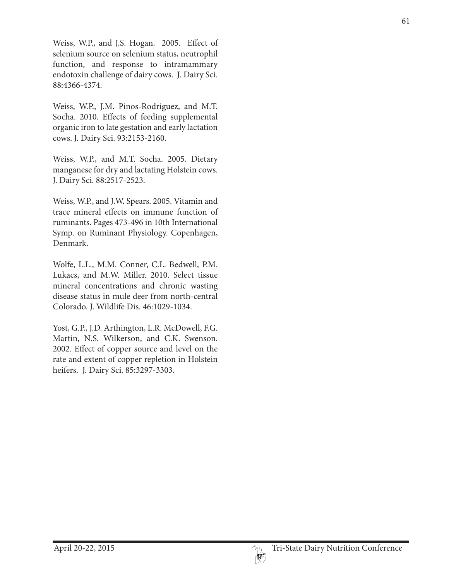Weiss, W.P., and J.S. Hogan. 2005. Effect of selenium source on selenium status, neutrophil function, and response to intramammary endotoxin challenge of dairy cows. J. Dairy Sci. 88:4366-4374.

Weiss, W.P., J.M. Pinos-Rodriguez, and M.T. Socha. 2010. Effects of feeding supplemental organic iron to late gestation and early lactation cows. J. Dairy Sci. 93:2153-2160.

Weiss, W.P., and M.T. Socha. 2005. Dietary manganese for dry and lactating Holstein cows. J. Dairy Sci. 88:2517-2523.

Weiss, W.P., and J.W. Spears. 2005. Vitamin and trace mineral effects on immune function of ruminants. Pages 473-496 in 10th International Symp. on Ruminant Physiology. Copenhagen, Denmark.

Wolfe, L.L., M.M. Conner, C.L. Bedwell, P.M. Lukacs, and M.W. Miller. 2010. Select tissue mineral concentrations and chronic wasting disease status in mule deer from north-central Colorado. J. Wildlife Dis. 46:1029-1034.

Yost, G.P., J.D. Arthington, L.R. McDowell, F.G. Martin, N.S. Wilkerson, and C.K. Swenson. 2002. Effect of copper source and level on the rate and extent of copper repletion in Holstein heifers. J. Dairy Sci. 85:3297-3303.

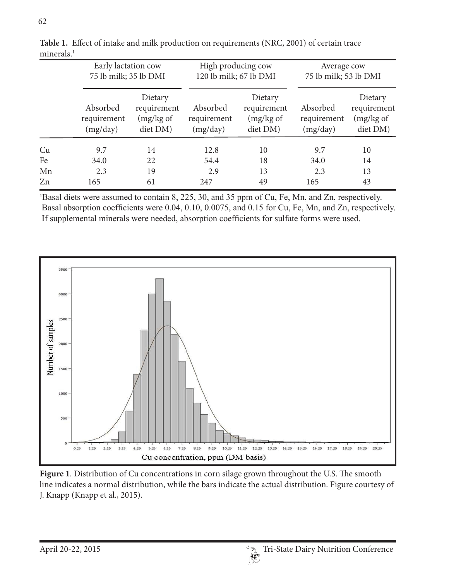|    | Early lactation cow<br>75 lb milk; 35 lb DMI |                                                 | High producing cow<br>120 lb milk; 67 lb DMI |                                                 | Average cow<br>75 lb milk; 53 lb DMI |                                                 |
|----|----------------------------------------------|-------------------------------------------------|----------------------------------------------|-------------------------------------------------|--------------------------------------|-------------------------------------------------|
|    | Absorbed<br>requirement<br>(mg/day)          | Dietary<br>requirement<br>(mg/kg of<br>diet DM) | Absorbed<br>requirement<br>(mg/day)          | Dietary<br>requirement<br>(mg/kg of<br>diet DM) | Absorbed<br>requirement<br>(mg/day)  | Dietary<br>requirement<br>(mg/kg of<br>diet DM) |
| Cu | 9.7                                          | 14                                              | 12.8                                         | 10                                              | 9.7                                  | 10                                              |
| Fe | 34.0                                         | 22                                              | 54.4                                         | 18                                              | 34.0                                 | 14                                              |
| Mn | 2.3                                          | 19                                              | 2.9                                          | 13                                              | 2.3                                  | 13                                              |
| Zn | 165                                          | 61                                              | 247                                          | 49                                              | 165                                  | 43                                              |



<sup>1</sup>Basal diets were assumed to contain 8, 225, 30, and 35 ppm of Cu, Fe, Mn, and Zn, respectively. Basal absorption coefficients were 0.04, 0.10, 0.0075, and 0.15 for Cu, Fe, Mn, and Zn, respectively. If supplemental minerals were needed, absorption coefficients for sulfate forms were used.



**Figure 1**. Distribution of Cu concentrations in corn silage grown throughout the U.S. The smooth line indicates a normal distribution, while the bars indicate the actual distribution. Figure courtesy of J. Knapp (Knapp et al., 2015).